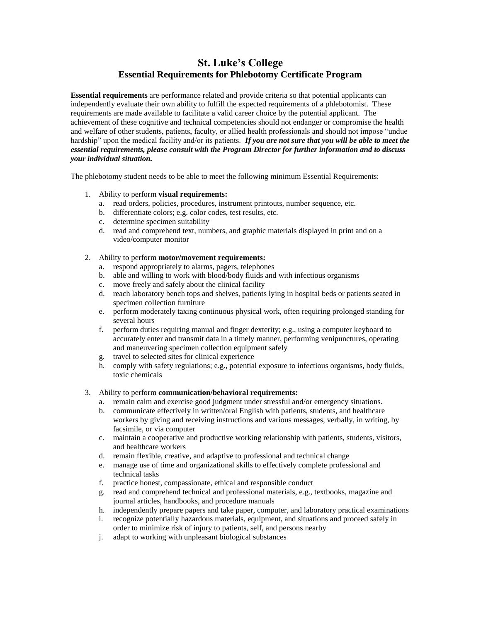## **St. Luke's College Essential Requirements for Phlebotomy Certificate Program**

**Essential requirements** are performance related and provide criteria so that potential applicants can independently evaluate their own ability to fulfill the expected requirements of a phlebotomist. These requirements are made available to facilitate a valid career choice by the potential applicant. The achievement of these cognitive and technical competencies should not endanger or compromise the health and welfare of other students, patients, faculty, or allied health professionals and should not impose "undue hardship" upon the medical facility and/or its patients. *If you are not sure that you will be able to meet the essential requirements, please consult with the Program Director for further information and to discuss your individual situation.*

The phlebotomy student needs to be able to meet the following minimum Essential Requirements:

- 1. Ability to perform **visual requirements:**
	- a. read orders, policies, procedures, instrument printouts, number sequence, etc.
	- b. differentiate colors; e.g. color codes, test results, etc.
	- c. determine specimen suitability
	- d. read and comprehend text, numbers, and graphic materials displayed in print and on a video/computer monitor
- 2. Ability to perform **motor/movement requirements:**
	- a. respond appropriately to alarms, pagers, telephones
	- b. able and willing to work with blood/body fluids and with infectious organisms
	- c. move freely and safely about the clinical facility
	- d. reach laboratory bench tops and shelves, patients lying in hospital beds or patients seated in specimen collection furniture
	- e. perform moderately taxing continuous physical work, often requiring prolonged standing for several hours
	- f. perform duties requiring manual and finger dexterity; e.g., using a computer keyboard to accurately enter and transmit data in a timely manner, performing venipunctures, operating and maneuvering specimen collection equipment safely
	- g. travel to selected sites for clinical experience
	- h. comply with safety regulations; e.g., potential exposure to infectious organisms, body fluids, toxic chemicals
- 3. Ability to perform **communication/behavioral requirements:**
	- a. remain calm and exercise good judgment under stressful and/or emergency situations.
	- b. communicate effectively in written/oral English with patients, students, and healthcare workers by giving and receiving instructions and various messages, verbally, in writing, by facsimile, or via computer
	- c. maintain a cooperative and productive working relationship with patients, students, visitors, and healthcare workers
	- d. remain flexible, creative, and adaptive to professional and technical change
	- e. manage use of time and organizational skills to effectively complete professional and technical tasks
	- f. practice honest, compassionate, ethical and responsible conduct
	- g. read and comprehend technical and professional materials, e.g., textbooks, magazine and journal articles, handbooks, and procedure manuals
	- h. independently prepare papers and take paper, computer, and laboratory practical examinations
	- i. recognize potentially hazardous materials, equipment, and situations and proceed safely in order to minimize risk of injury to patients, self, and persons nearby
	- j. adapt to working with unpleasant biological substances